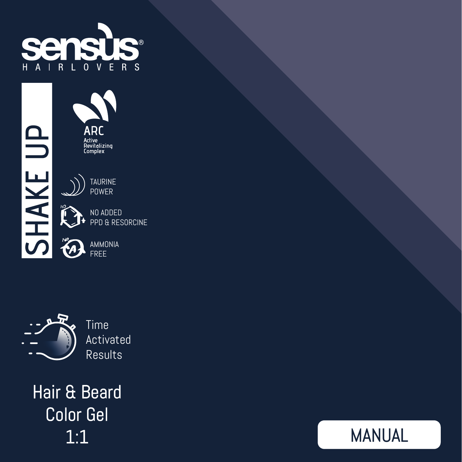

ARC -----<br>Active<br>Revitalizing<br>Complex



| 'NN ANNEN       |
|-----------------|
| PPD & RESORCINE |

AMMONIA FREE



Time Activated Results

Hair & Beard Color Gel 1:1

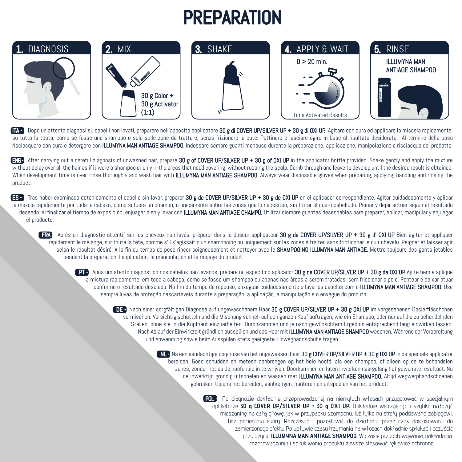## **PREPARATION**



ITA - Dopo un'attenta diagnosi su capelli non lavati, preparare nell'apposito applicatore 30 g di COVER UP/SILVER UP + 30 g di OXI UP. Agitare con cura ed applicare la miscela rapidamente, su tutta la testa, come se fosse uno shampoo o solo sulle zone da trattare, senza frizionare la cute. Pettinare e lasciare agire in base al risultato desiderato. Al termine della posa risciacquare con cura e detergere con ILLUMYNA MAN ANTIAGE SHAMPOO. Indossare sempre guanti monouso durante la preparazione, applicazione, manipolazione e risciacquo del prodotto.

ENG After carrying out a careful diagnosis of unwashed hair, prepare 30 g of COVER UP/SILVER UP + 30 g of OXI UP in the applicator bottle provided. Shake gently and apply the mixture without delay over all the hair as if it were a shampoo or only in the areas that need covering, without rubbing the scalp. Comb through and leave to develop until the desired result is obtained. When development time is over, rinse thoroughly and wash hair with ILLUMYNA MAN ANTIAGE SHAMPOO. Always wear disposable gloves when preparing, applying, handling and rinsing the product.

**ESP** Tras haber examinado detenidamente el cabello sin lavar, preparar 30 g de COVER UP/SILVER UP + 30 g de OXI UP en el aplicador correspondiente. Agitar cuidadosamente y aplicar la mezcla rápidamente por toda la cabeza, como si fuera un champú, o únicamente sobre las zonas que lo necesiten, sin frotar el cuero cabelludo. Peinar y dejar actuar según el resultado deseado. Al finalizar el tiempo de exposición, enjuagar bien y lavar con ILLUMYNA MAN ANTIAGE CHAMPÚ. Utilizar siempre guantes desechables para preparar, aplicar, manipular y enjuagar el producto.

**FRA** Après un diagnostic attentif sur les cheveux non lavés, préparer dans le doseur applicateur 30 g de COVER UP/SILVER UP + 30 g d' OXI UP. Bien agiter et appliquer rapidement le mélange, sur toute la tête, comme s'il s'agissait d'un shampooing ou uniquement sur les zones à traiter, sans frictionner le cuir chevelu. Peigner et laisser agir selon le résultat désiré. À la fin du temps de pose rincer soigneusement et nettoyer avec le SHAMPOOING ILLUMYNA MAN ANTIAGE. Mettre toujours des gants jetables pendant la préparation, l'application, la manipulation et le rinçage du produit.

**PTP** Após um atento diagnóstico nos cabelos não lavados, prepare no específico aplicador 30 g de COVER UP/SILVER UP + 30 g de OXI UP. Agite bem e aplique a mistura rapidamente, em toda a cabeça, como se fosse um shampoo ou apenas nas áreas a serem tratadas, sem friccionar a pele. Pentear e deixar atuar conforme o resultado desejado. No fim do tempo de repouso, enxaguar cuidadosamente e lavar os cabelos com o ILLUMYNA MAN ANTIAGE SHAMPOO. Use sempre luvas de proteção descartáveis durante a preparação, a aplicação, a manipulação e o enxágue do produto.

DE Nach einer sorgfältigen Diagnose auf ungewaschenem Haar 30 g COVER UP/SILVER UP + 30 g OXI UP im vorgesehenen Dosierfläschchen vermischen. Vorsichtig schütteln und die Mischung schnell auf den ganzen Kopf auftragen, wie ein Shampoo, oder nur auf die zu behandelnden Stellen, ohne sie in die Kopfhaut einzuarbeiten. Durchkämmen und je nach gewünschtem Ergebnis entsprechend lang einwirken lassen. Nach Ablauf der Einwirkzeit gründlich ausspülen und das Haar mit ILLUMYNA MAN ANTIAGE SHAMPOO waschen. Während der Vorbereitung und Anwendung sowie beim Ausspülen stets geeignete Einweghandschuhe tragen.

> NL - Na een aandachtige diagnose van het ongewassen haar 30 g COVER UP/SILVER UP + 30 g OXI UP in de speciale applicator bereiden. Goed schudden en meteen aanbrengen op het hele hoofd, als een shampoo, of alleen op de te behandelen zones, zonder het op de hoofdhuid in te wrijven. Doorkammen en laten inwerken naargelang het gewenste resultaat. Na de inwerktijd grondig uitspoelen en wassen met **ILLUMYNA MAN ANTIAGE SHAMPOO.** Altijd wegwerphandschoenen gebruiken tijdens het bereiden, aanbrengen, hanteren en uitspoelen van het product.

> > POL - Po diagnozie dokładnie przeprowadzonej na niemytych włosach przygotować w specjalnym aplikatorze **30 g COVER UP/SILVER UP + 30 g OXI UP.** Dokładnie wstrząsnąć i szybko nałożyć mieszaninę na całą głowę, jak w przypadku szamponu, lub tylko na strefy poddawane zabiegowi, bez pocierania skóry. Rozczesać i pozostawić do działania przez czas dostosowany do zamierzonego efektu. Po upływie czasu trzymania na włosach dokładnie spłukać i oczyścić przy użyciu **ILLUMYNA MAN ANTIAGE SHAMPOO.** W czasie przygotowywania, nakładania, rozprowadzania i spłukiwania produktu zawsze stosować rękawice ochronne.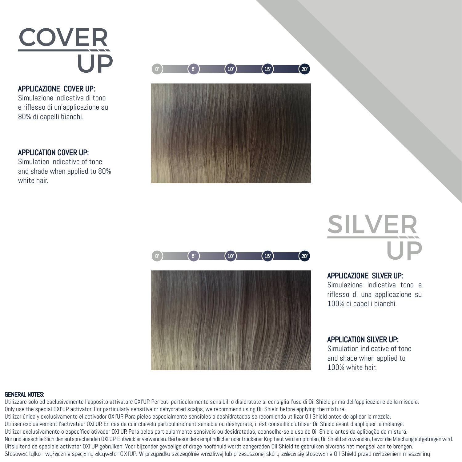

APPLICAZIONE COVER UP: Simulazione indicativa di tono e riflesso di un'applicazione su 80% di capelli bianchi.

### APPLICATION COVER UP:

Simulation indicative of tone and shade when applied to 80% white hair.





# **SILVER**

APPLICAZIONE SILVER UP:

Simulazione indicativa tono e riflesso di una applicazione su 100% di capelli bianchi.

APPLICATION SILVER UP: Simulation indicative of tone and shade when applied to 100% white hair.

#### GENERAL NOTES:

Utilizzare solo ed esclusivamente l'apposito attivatore OXI'UP. Per cuti particolarmente sensibili o disidratate si consiglia l'uso di Oil Shield prima dell'applicazione della miscela. Only use the special OXI'UP activator. For particularly sensitive or dehydrated scalps, we recommend using Oil Shield before applying the mixture. Utilizar única y exclusivamente el activador OXI'UP. Para pieles especialmente sensibles o deshidratadas se recomienda utilizar Oil Shield antes de aplicar la mezcla. Utiliser exclusivement l'activateur OXI'UP. En cas de cuir chevelu particulièrement sensible ou déshydraté, il est conseillé d'utiliser Oil Shield avant d'appliquer le mélange. Utilizar exclusivamente o específico ativador OXI'UP. Para peles particularmente sensíveis ou desidratadas, aconselha-se o uso de Oil Shield antes da aplicação da mistura. Nur und ausschließlich den entsprechenden OXI'UP-Entwickler verwenden. Bei besonders empfindlicher oder trockener Kopfhaut wird empfohlen, Oil Shield anzuwenden, bevor die Mischung aufgetragen wird. Uitsluitend de speciale activator OXI'UP gebruiken. Voor bijzonder gevoelige of droge hoofdhuid wordt aangeraden Oil Shield te gebruiken alvorens het mengsel aan te brengen. Stosować tylko i wyłącznie specjalny aktywator OXI'UP. W przypadku szczególnie wrażliwej lub przesuszonej skóry zaleca się stosowanie Oil Shield przed nałożeniem mieszaniny.